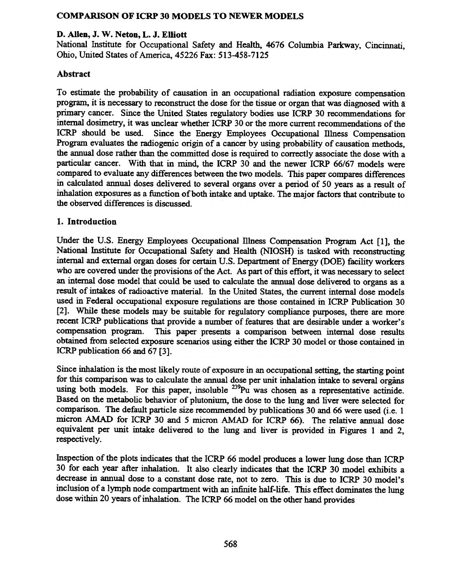# COMPARISON OF ICRP 30 MODELS TO NEWER MODELS

### D. Allen, J. W. Neton, L. J. Elliott

National fustitute for Occupational Safety and Health, 4676 Columbia Parkway, Cincinnati, Ohio, United States of America, 45226 Fax: 513-458-7125

## Abstract

To estimate the probability of causation in an occupational radiation exposure compensation program, it is necessary to reconstruct the dose for the tissue or organ that was diagnosed with a primary cancer. Since the United States regulatory bodies use ICRP 30 recommendations for internal dosimetry, it was unclear whether ICRP 30 or the more current recommendations of the ICRP should be used. Since the Energy Employees Occupational lllness Compensation Program evaluates the radiogenic origin of a cancer by using probability of causation methods, the annual dose rather than the committed dose is required to correctly associate the dose with a particular cancer. With that in mind, the ICRP 30 and the newer ICRP 66/67 models were compared to evaluate any differences between the two models. This paper compares differences in calculated annual doses delivered to several organs over a period of 50 years as a result of inhalation exposures as a function of both intake and uptake. The major factors that contribute to the observed differences is discussed.

### 1. Introduction

Under the U.S. Energy Employees Occupational Illness Compensation Program Act [1], the National Institute for Occupational Safety and Health (NIOSH) is tasked with reconstructing internal and external organ doses for certain U.S. Department of Energy (DOE) facility workers who are covered under the provisions of the Act. As part of this effort, it was necessary to select an internal dose model that could be used to calculate the annual dose delivered to organs as a result of intakes of radioactive material. In the United States, the current internal dose models used in Federal occupational exposure regulations are those contained in ICRP Publication 30 [2]. While these models may be suitable for regulatory compliance purposes, there are more recent ICRP publications that provide a number of features that are desirable under a worker's compensation program. This paper presents a comparison between internal dose results obtained from selected exposure scenarios using either the ICRP 30 model or those contained in ICRP publication 66 and 67 [3].

Since inhalation is the most likely route of exposure in an occupational setting, the starting point for this comparison was to calculate the annual dose per unit inhalation intake to several organs using both models. For this paper, insoluble  $^{239}$ Pu was chosen as a representative actinide. Based on the metabolic behavior of plutonium, the dose to the lung and liver were selected for comparison. The default particle size recommended by publications 30 and 66 were used (i.e. I micron AMAD for ICRP 30 and 5 micron AMAD for ICRP 66). The relative annual dose equivalent per unit intake delivered to the lung and liver is provided in Figures 1 and 2, respectively.

Inspection of the plots indicates that the ICRP 66 model produces a lower lung dose than ICRP 30 for each year after inhalation. It also clearly indicates that the ICRP 30 model exhibits a decrease in annual dose to a constant dose rate, not to zero. This is due to ICRP 30 model's inclusion of a lymph node compartment with an infinite half-life. This effect dominates the lung dose within 20 years of inhalation. The ICRP 66 model on the other hand provides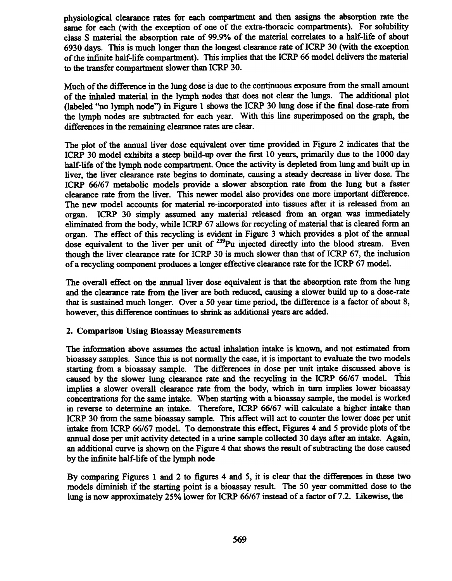physiological clearance rates for each compartment and then assigns the absorption rate the same for each (with the exception of one of the extra-thoracic compartments). For solubility class S material the absorption rate of 99.9% of the material correlates to a half-life of about 6930 days. This is much longer than the longest clearance rate of ICRP 30 (with the exception of the infinite half-life compartment). This implies that the ICRP 66 model delivers the material to the transfer compartment slower than ICRP 30.

Much of the difference in the lung dose is due to the continuous exposure from the small amount of the inhaled material in the lymph nodes that does not clear the lungs. The additional plot (labeled "'no lymph node") in Figure I shows the ICRP 30 lung dose if the final dose-rate from the lymph nodes are subtracted for each year. With this line superimposed on the graph, the differences in the remaining clearance rates are clear.

The plot of the annual liver dose equivalent over time provided in Figure 2 indicates that the ICRP 30 model exhibits a steep build-up over the first 10 years, primarily due to the 1000 day half-life of the lymph node compartment. Once the activity is depleted from lung and built up in liver, the liver clearance rate begins to dominate, causing a steady decrease in liver dose. The ICRP 66/67 metabolic models provide a slower absorption rate from the lung but a faster clearance rate from the liver. This newer model also provides one more important difference. The new model accounts for material re-incorporated into tissues after it is released from an organ. ICRP 30 simply assumed any material released from an organ was immediately eliminated from the body, while ICRP 67 allows for recycling of material that is cleared form an organ. The effect of this recycling is evident in Figure 3 which provides a plot of the annual dose equivalent to the liver per unit of <sup>239</sup>Pu injected directly into the blood stream. Even though the liver clearance rate for ICRP 30 is much slower than that of ICRP 67, the inclusion of a recycling component produces a longer effective clearance rate for the ICRP 67 model.

The overall effect on the annual liver dose equivalent is that the absorption rate from the lung and the clearance rate from the liver are both reduced, causing a slower build up to a dose-rate that is sustained much longer. Over a 50 year time period, the difference is a factor of about 8, however, this difference continues to shrink as additional years are added.

#### 2. Comparison Using Bioassay Measurements

The information above assumes the actual inhalation intake is known, and not estimated from bioassay samples. Since this is not normally the case, it is important to evaluate the two models starting from a bioassay sample. The differences in dose per unit intake discussed above is caused by the slower lung clearance rate and the recycling in the ICRP 66/67 model. This implies a slower overall clearance rate from the body, which in turn implies lower bioassay concentrations for the same intake. When starting with a bioassay sample, the model is worked in reverse to detennine an intake. Therefore, ICRP 66/67 will calculate a higher intake than ICRP 30 from the same bioassay sample. This affect will act to counter the lower dose per unit intake from ICRP 66/67 model. To demonstrate this effect, Figures 4 and 5 provide plots of the annual dose per unit activity detected in a urine sample collected 30 days after an intake. Again, an additional curve is shown on the Figure 4 that shows the result of subtracting the dose caused by the infinite half-life of the lymph node

By comparing Figures 1 and 2 to figures 4 and 5, it is clear that the differences in these two models diminish if the starting point is a bioassay result. The 50 year committed dose to the lung is now approximately 25% lower for ICRP 66/67 instead of a factor of 7.2. Likewise, the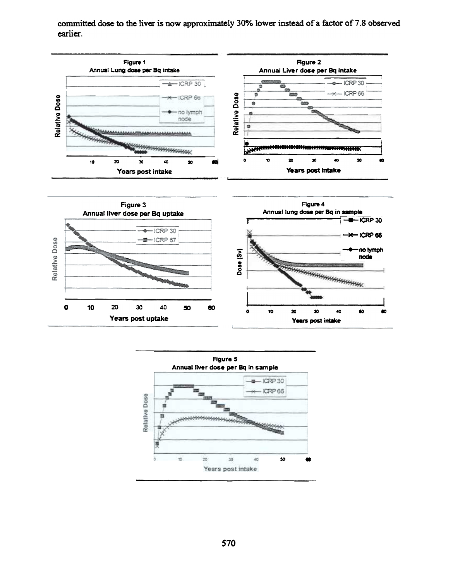committed dose to the liver is now approximately 30% lower instead of a factor of 7.8 observed earlier.